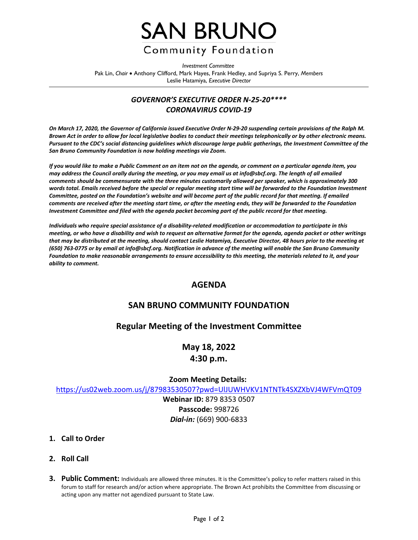

*Investment Committee* Pak Lin, *Chair* • Anthony Clifford, Mark Hayes, Frank Hedley, and Supriya S. Perry, *Members* Leslie Hatamiya, *Executive Director*

## *GOVERNOR'S EXECUTIVE ORDER N-25-20\*\*\*\* CORONAVIRUS COVID-19*

*On March 17, 2020, the Governor of California issued Executive Order N-29-20 suspending certain provisions of the Ralph M. Brown Act in order to allow for local legislative bodies to conduct their meetings telephonically or by other electronic means. Pursuant to the CDC's social distancing guidelines which discourage large public gatherings, the Investment Committee of the San Bruno Community Foundation is now holding meetings via Zoom.*

*If you would like to make a Public Comment on an item not on the agenda, or comment on a particular agenda item, you may address the Council orally during the meeting, or you may email us at info@sbcf.org. The length of all emailed comments should be commensurate with the three minutes customarily allowed per speaker, which is approximately 300 words total. Emails received before the special or regular meeting start time will be forwarded to the Foundation Investment Committee, posted on the Foundation's website and will become part of the public record for that meeting. If emailed comments are received after the meeting start time, or after the meeting ends, they will be forwarded to the Foundation Investment Committee and filed with the agenda packet becoming part of the public record for that meeting.*

*Individuals who require special assistance of a disability-related modification or accommodation to participate in this meeting, or who have a disability and wish to request an alternative format for the agenda, agenda packet or other writings that may be distributed at the meeting, should contact Leslie Hatamiya, Executive Director, 48 hours prior to the meeting at (650) 763-0775 or by email at info@sbcf.org. Notification in advance of the meeting will enable the San Bruno Community Foundation to make reasonable arrangements to ensure accessibility to this meeting, the materials related to it, and your ability to comment.*

## **AGENDA**

## **SAN BRUNO COMMUNITY FOUNDATION**

## **Regular Meeting of the Investment Committee**

# **May 18, 2022 4:30 p.m.**

#### **Zoom Meeting Details:**

<https://us02web.zoom.us/j/87983530507?pwd=UlJUWHVKV1NTNTk4SXZXbVJ4WFVmQT09>

**Webinar ID:** 879 8353 0507 **Passcode:** 998726 *Dial-in:* (669) 900-6833

#### **1. Call to Order**

- **2. Roll Call**
- **3. Public Comment:** Individuals are allowed three minutes. It is the Committee's policy to refer matters raised in this forum to staff for research and/or action where appropriate. The Brown Act prohibits the Committee from discussing or acting upon any matter not agendized pursuant to State Law.